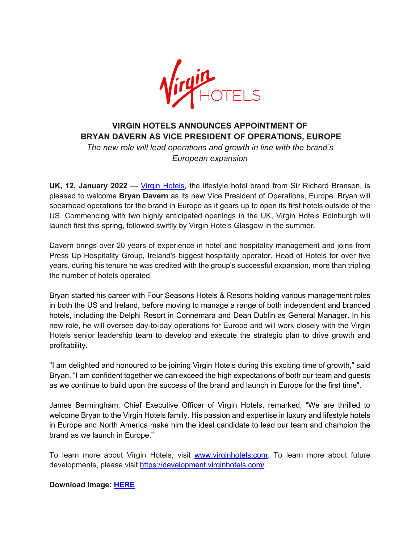

**VIRGIN HOTELS ANNOUNCES APPOINTMENT OF BRYAN DAVERN AS VICE PRESIDENT OF OPERATIONS, EUROPE** *The new role will lead operations and growth in line with the brand's European expansion*

**UK, 12, January 2022** — Virgin Hotels, the lifestyle hotel brand from Sir Richard Branson, is pleased to welcome **Bryan Davern** as its new Vice President of Operations, Europe. Bryan will spearhead operations for the brand in Europe as it gears up to open its first hotels outside of the US. Commencing with two highly anticipated openings in the UK, Virgin Hotels Edinburgh will launch first this spring, followed swiftly by Virgin Hotels Glasgow in the summer.

Davern brings over 20 years of experience in hotel and hospitality management and joins from Press Up Hospitality Group, Ireland's biggest hospitality operator. Head of Hotels for over five years, during his tenure he was credited with the group's successful expansion, more than tripling the number of hotels operated.

Bryan started his career with Four Seasons Hotels & Resorts holding various management roles in both the US and Ireland, before moving to manage a range of both independent and branded hotels, including the Delphi Resort in Connemara and Dean Dublin as General Manager. In his new role, he will oversee day-to-day operations for Europe and will work closely with the Virgin Hotels senior leadership team to develop and execute the strategic plan to drive growth and profitability.

"I am delighted and honoured to be joining Virgin Hotels during this exciting time of growth," said Bryan. "I am confident together we can exceed the high expectations of both our team and guests as we continue to build upon the success of the brand and launch in Europe for the first time".

James Bermingham, Chief Executive Officer of Virgin Hotels, remarked, "We are thrilled to welcome Bryan to the Virgin Hotels family. His passion and expertise in luxury and lifestyle hotels in Europe and North America make him the ideal candidate to lead our team and champion the brand as we launch in Europe."

To learn more about Virgin Hotels, visit www.virginhotels.com. To learn more about future developments, please visit https://development.virginhotels.com/.

**Download Image: HERE**